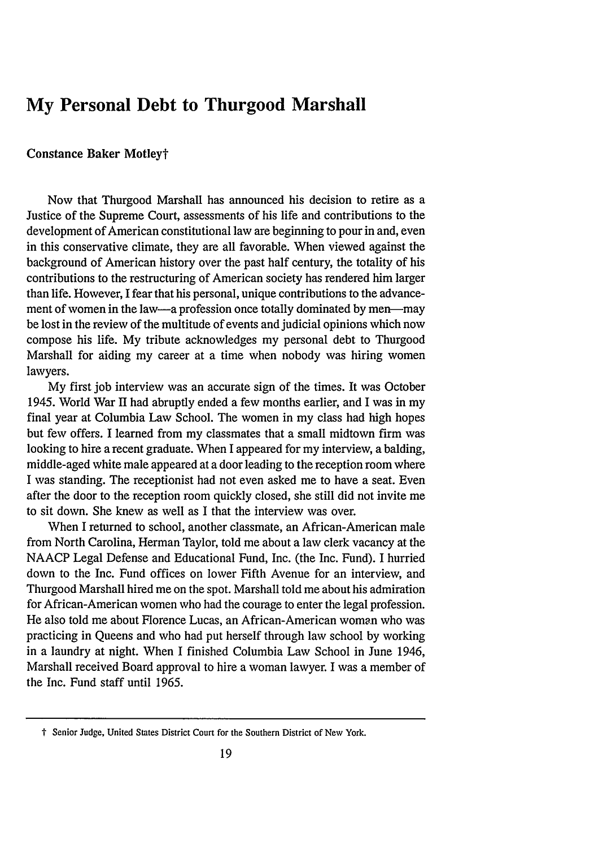# **My Personal Debt to Thurgood Marshall**

# Constance Baker Motleyt

Now that Thurgood Marshall has announced his decision to retire as a Justice of the Supreme Court, assessments of his life and contributions to the development of American constitutional law are beginning to pour in and, even in this conservative climate, they are all favorable. When viewed against the background of American history over the past half century, the totality of his contributions to the restructuring of American society has rendered him larger than life. However, I fear that his personal, unique contributions to the advancement of women in the law—a profession once totally dominated by men—may be lost in the review of the multitude of events and judicial opinions which now compose his life. **My** tribute acknowledges my personal debt to Thurgood Marshall for aiding my career at a time when nobody was hiring women lawyers.

My first job interview was an accurate sign of the times. It was October 1945. World War II had abruptly ended a few months earlier, and I was in my final year at Columbia Law School. The women in my class had high hopes but few offers. I learned from my classmates that a small midtown firm was looking to hire a recent graduate. When I appeared for my interview, a balding, middle-aged white male appeared at a door leading to the reception room where I was standing. The receptionist had not even asked me to have a seat. Even after the door to the reception room quickly closed, she still did not invite me to sit down. She knew as well as I that the interview was over.

When I returned to school, another classmate, an African-American male from North Carolina, Herman Taylor, told me about a law clerk vacancy at the NAACP Legal Defense and Educational Fund, Inc. (the Inc. Fund). I hurried down to the Inc. Fund offices on lower Fifth Avenue for an interview, and Thurgood Marshall hired me on the spot. Marshall told me about his admiration for African-American women who had the courage to enter the legal profession. He also told me about Florence Lucas, an African-American woman who was practicing in Queens and who had put herself through law school by working in a laundry at night. When I finished Columbia Law School in June 1946, Marshall received Board approval to hire a woman lawyer. I was a member of the Inc. Fund staff until 1965.

t Senior Judge, United States District Court for the Southern District of New York.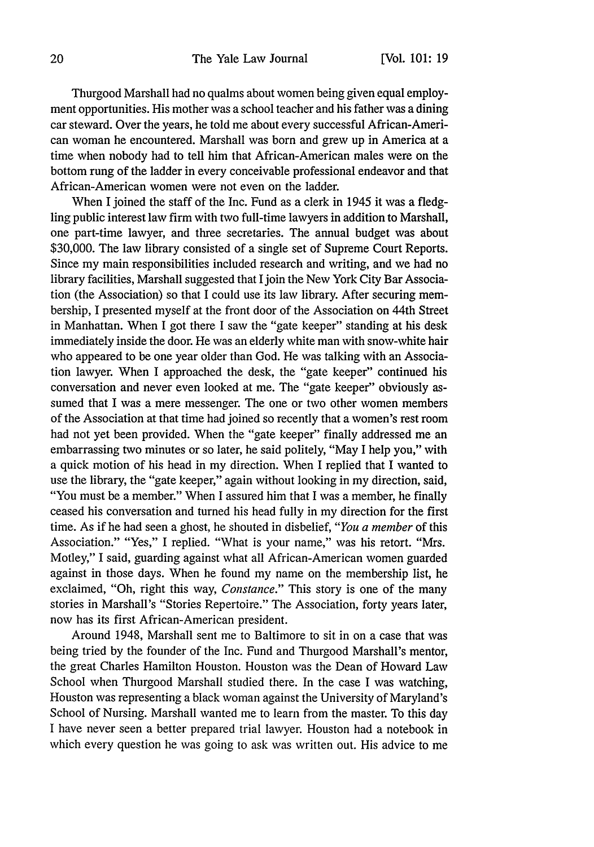Thurgood Marshall had no qualms about women being given equal employment opportunities. His mother was a school teacher and his father was a dining car steward. Over the years, he told me about every successful African-American woman he encountered. Marshall was born and grew up in America at a time when nobody had to tell him that African-American males were on the bottom rung of the ladder in every conceivable professional endeavor and that African-American women were not even on the ladder.

When I joined the staff of the Inc. Fund as a clerk in 1945 it was a fledgling public interest law firm with two full-time lawyers in addition to Marshall, one part-time lawyer, and three secretaries. The annual budget was about \$30,000. The law library consisted of a single set of Supreme Court Reports. Since my main responsibilities included research and writing, and we had no library facilities, Marshall suggested that I join the New York City Bar Association (the Association) so that I could use its law library. After securing membership, I presented myself at the front door of the Association on 44th Street in Manhattan. When I got there I saw the "gate keeper" standing at his desk immediately inside the door. He was an elderly white man with snow-white hair who appeared to be one year older than God. He was talking with an Association lawyer. When I approached the desk, the "gate keeper" continued his conversation and never even looked at me. The "gate keeper" obviously assumed that I was a mere messenger. The one or two other women members of the Association at that time had joined so recently that a women's rest room had not yet been provided. When the "gate keeper" finally addressed me an embarrassing two minutes or so later, he said politely, "May I help you," with a quick motion of his head in my direction. When I replied that I wanted to use the library, the "gate keeper," again without looking in my direction, said, "You must be a member." When I assured him that I was a member, he finally ceased his conversation and turned his head fully in my direction for the first time. As if he had seen a ghost, he shouted in disbelief, *"You a member* of this Association." "Yes," I replied. "What is your name," was his retort. "Mrs. Motley," I said, guarding against what all African-American women guarded against in those days. When he found my name on the membership list, he exclaimed, "Oh, right this way, *Constance."* This story is one of the many stories in Marshall's "Stories Repertoire." The Association, forty years later, now has its first African-American president.

Around 1948, Marshall sent me to Baltimore to sit in on a case that was being tried by the founder of the Inc. Fund and Thurgood Marshall's mentor, the great Charles Hamilton Houston. Houston was the Dean of Howard Law School when Thurgood Marshall studied there. In the case I was watching, Houston was representing a black woman against the University of Maryland's School of Nursing. Marshall wanted me to learn from the master. To this day I have never seen a better prepared trial lawyer. Houston had a notebook in which every question he was going to ask was written out. His advice to me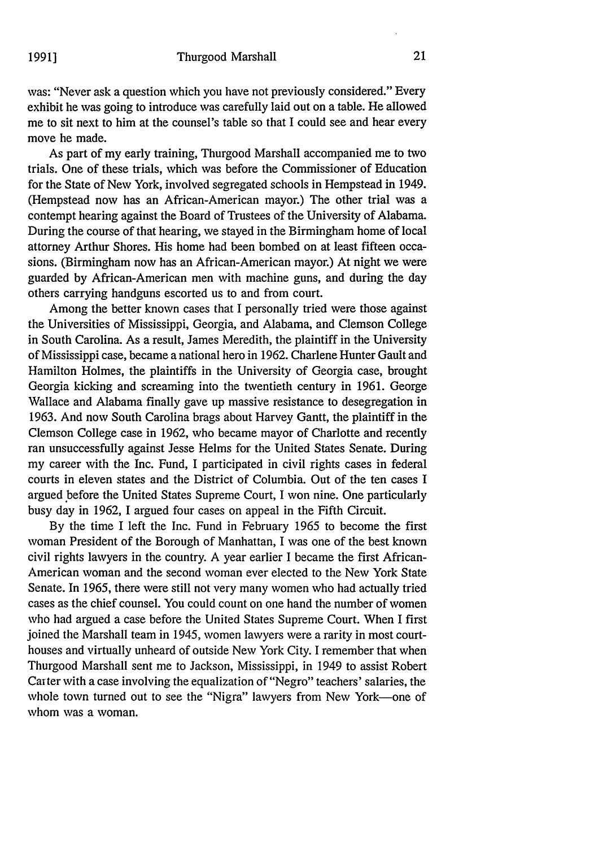was: "Never ask a question which you have not previously considered." Every exhibit he was going to introduce was carefully laid out on a table. He allowed me to sit next to him at the counsel's table so that I could see and hear every move he made.

As part of my early training, Thurgood Marshall accompanied me to two trials. One of these trials, which was before the Commissioner of Education for the State of New York, involved segregated schools in Hempstead in 1949. (Hempstead now has an African-American mayor.) The other trial was a contempt hearing against the Board of Trustees of the University of Alabama. During the course of that hearing, we stayed in the Birmingham home of local attorney Arthur Shores. His home had been bombed on at least fifteen occasions. (Birmingham now has an African-American mayor.) At night we were guarded by African-American men with machine guns, and during the day others carrying handguns escorted us to and from court.

Among the better known cases that I personally tried were those against the Universities of Mississippi, Georgia, and Alabama, and Clemson College in South Carolina. As a result, James Meredith, the plaintiff in the University of Mississippi case, became a national hero in 1962. Charlene Hunter Gault and Hamilton Holmes, the plaintiffs in the University of Georgia case, brought Georgia kicking and screaming into the twentieth century in 1961. George Wallace and Alabama finally gave up massive resistance to desegregation in 1963. And now South Carolina brags about Harvey Gantt, the plaintiff in the Clemson College case in 1962, who became mayor of Charlotte and recently ran unsuccessfully against Jesse Helms for the United States Senate. During my career with the Inc. Fund, I participated in civil rights cases in federal courts in eleven states and the District of Columbia. Out of the ten cases I argued before the United States Supreme Court, I won nine. One particularly busy day in 1962, I argued four cases on appeal in the Fifth Circuit.

By the time I left the Inc. Fund in February 1965 to become the first woman President of the Borough of Manhattan, I was one of the best known civil rights lawyers in the country. A year earlier I became the first African-American woman and the second woman ever elected to the New York State Senate. In 1965, there were still not very many women who had actually tried cases as the chief counsel. You could count on one hand the number of women who had argued a case before the United States Supreme Court. When I first joined the Marshall team in 1945, women lawyers were a rarity in most courthouses and virtually unheard of outside New York City. I remember that when Thurgood Marshall sent me to Jackson, Mississippi, in 1949 to assist Robert Carter with a case involving the equalization of "Negro" teachers' salaries, the whole town turned out to see the "Nigra" lawyers from New York-one of whom was a woman.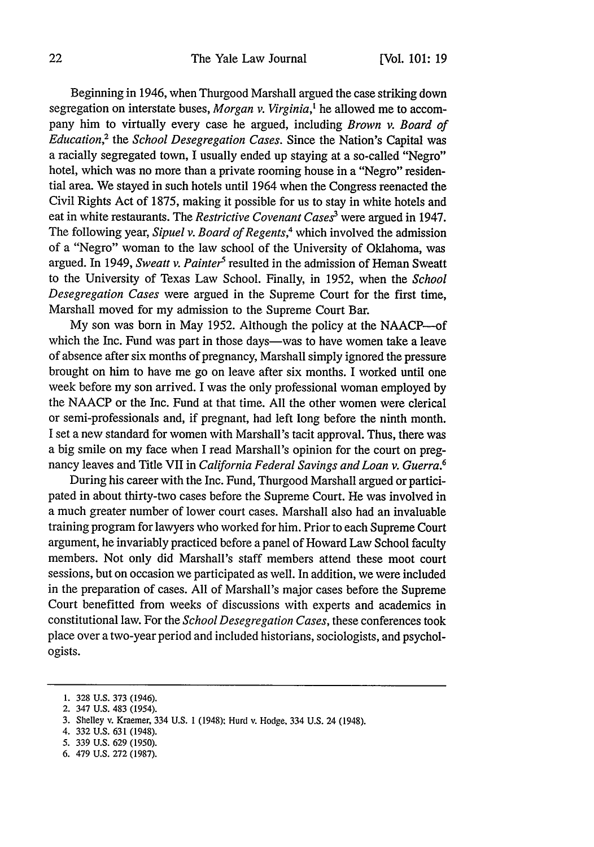# The Yale Law Journal

Beginning in 1946, when Thurgood Marshall argued the case striking down segregation on interstate buses, *Morgan v. Virginia,'* he allowed me to accompany him to virtually every case he argued, including *Brown v. Board of Education,'* the *School Desegregation Cases.* Since the Nation's Capital was a racially segregated town, I usually ended up staying at a so-called "Negro" hotel, which was no more than a private rooming house in a "Negro" residential area. We stayed in such hotels until 1964 when the Congress reenacted the Civil Rights Act of 1875, making it possible for us to stay in white hotels and eat in white restaurants. The *Restrictive Covenant Cases3* were argued in 1947. The following year, *Sipuel v. Board of Regents,4* which involved the admission of a "Negro" woman to the law school of the University of Oklahoma, was argued. In 1949, *Sweatt v. Painter<sup>5</sup>* resulted in the admission of Heman Sweatt to the University of Texas Law School. Finally, in 1952, when the *School Desegregation Cases* were argued in the Supreme Court for the first time, Marshall moved for my admission to the Supreme Court Bar.

My son was born in May 1952. Although the policy at the NAACP--of which the Inc. Fund was part in those days—was to have women take a leave of absence after six months of pregnancy, Marshall simply ignored the pressure brought on him to have me go on leave after six months. I worked until one week before my son arrived. I was the only professional woman employed by the NAACP or the Inc. Fund at that time. All the other women were clerical or semi-professionals and, if pregnant, had left long before the ninth month. I set a new standard for women with Marshall's tacit approval. Thus, there was a big smile on my face when I read Marshall's opinion for the court on pregnancy leaves and Title VII in *California Federal Savings and Loan v. Guerra.6*

During his career with the Inc. Fund, Thurgood Marshall argued or participated in about thirty-two cases before the Supreme Court. He was involved in a much greater number of lower court cases. Marshall also had an invaluable training program for lawyers who worked for him. Prior to each Supreme Court argument, he invariably practiced before a panel of Howard Law School faculty members. Not only did Marshall's staff members attend these moot court sessions, but on occasion we participated as well. In addition, we were included in the preparation of cases. All of Marshall's major cases before the Supreme Court benefitted from weeks of discussions with experts and academics in constitutional law. For the *School Desegregation Cases,* these conferences took place over a two-year period and included historians, sociologists, and psychologists.

*5.* 339 U.S. 629 (1950).

<sup>1. 328</sup> U.S. 373 (1946).

<sup>2. 347</sup> U.S. 483 (1954).

<sup>3.</sup> Shelley v. Kraemer, 334 U.S. 1 (1948): Hurd v. Hodge, 334 U.S. 24 (1948).

<sup>4. 332</sup> U.S. 631 (1948).

<sup>6. 479</sup> U.S. 272 (1987).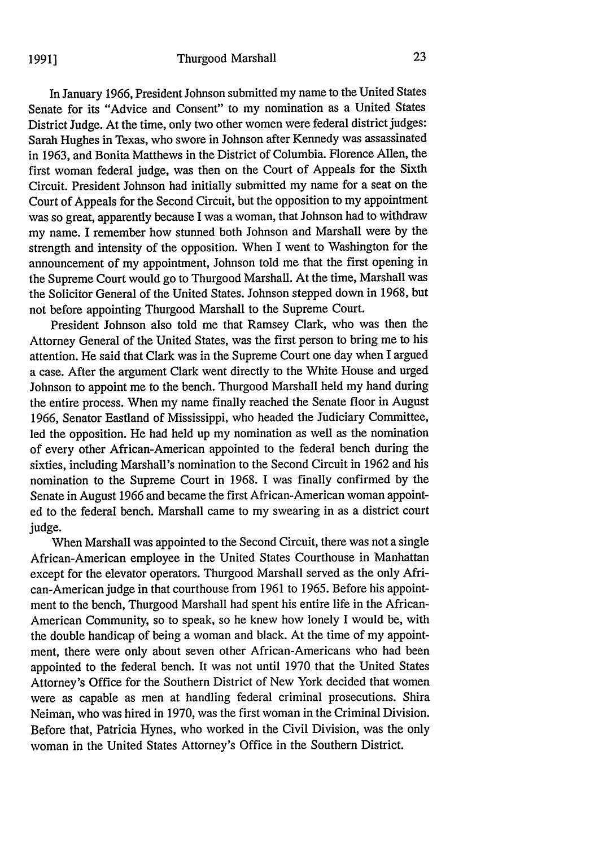#### Thurgood Marshall

In January 1966, President Johnson submitted my name to the United States Senate for its "Advice and Consent" to my nomination as a United States District Judge. At the time, only two other women were federal district judges: Sarah Hughes in Texas, who swore in Johnson after Kennedy was assassinated in 1963, and Bonita Matthews in the District of Columbia. Florence Allen, the first woman federal judge, was then on the Court of Appeals for the Sixth Circuit. President Johnson had initially submitted my name for a seat on the Court of Appeals for the Second Circuit, but the opposition to my appointment was so great, apparently because I was a woman, that Johnson had to withdraw my name. I remember how stunned both Johnson and Marshall were by the strength and intensity of the opposition. When I went to Washington for the announcement of my appointment, Johnson told me that the first opening in the Supreme Court would go to Thurgood Marshall. At the time, Marshall was the Solicitor General of the United States. Johnson stepped down in 1968, but not before appointing Thurgood Marshall to the Supreme Court.

President Johnson also told me that Ramsey Clark, who was then the Attorney General of the United States, was the first person to bring me to his attention. He said that Clark was in the Supreme Court one day when I argued a case. After the argument Clark went directly to the White House and urged Johnson to appoint me to the bench. Thurgood Marshall held my hand during the entire process. When my name finally reached the Senate floor in August 1966, Senator Eastland of Mississippi, who headed the Judiciary Committee, led the opposition. He had held up my nomination as well as the nomination of every other African-American appointed to the federal bench during the sixties, including Marshall's nomination to the Second Circuit in 1962 and his nomination to the Supreme Court in 1968. I was finally confirmed by the Senate in August 1966 and became the first African-American woman appointed to the federal bench. Marshall came to my swearing in as a district court judge.

When Marshall was appointed to the Second Circuit, there was not a single African-American employee in the United States Courthouse in Manhattan except for the elevator operators. Thurgood Marshall served as the only African-American judge in that courthouse from 1961 to 1965. Before his appointment to the bench, Thurgood Marshall had spent his entire life in the African-American Community, so to speak, so he knew how lonely I would be, with the double handicap of being a woman and black. At the time of my appointment, there were only about seven other African-Americans who had been appointed to the federal bench. It was not until 1970 that the United States Attorney's Office for the Southern District of New York decided that women were as capable as men at handling federal criminal prosecutions. Shira Neiman, who was hired in 1970, was the first woman in the Criminal Division. Before that, Patricia Hynes, who worked in the Civil Division, was the only woman in the United States Attorney's Office in the Southern District.